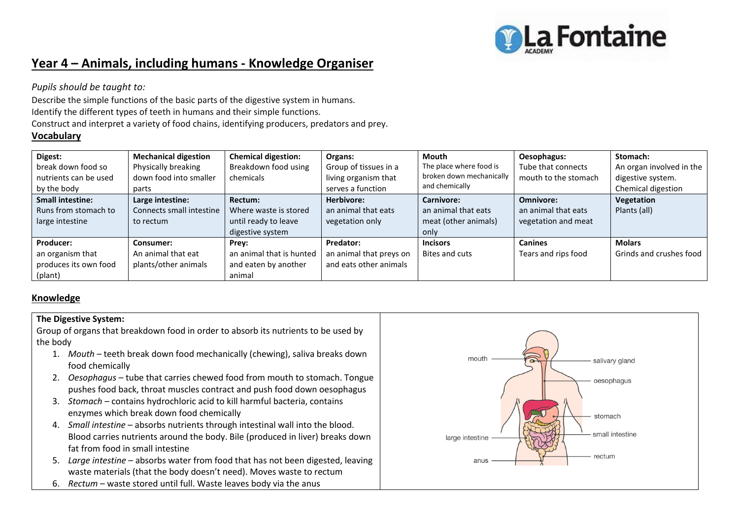

# **Year 4 – Animals, including humans - Knowledge Organiser**

*Pupils should be taught to:*

Describe the simple functions of the basic parts of the digestive system in humans. Identify the different types of teeth in humans and their simple functions. Construct and interpret a variety of food chains, identifying producers, predators and prey.

## **Vocabulary**

| Digest:                 | <b>Mechanical digestion</b> | <b>Chemical digestion:</b> | Organs:                 | Mouth                    | Oesophagus:          | Stomach:                 |
|-------------------------|-----------------------------|----------------------------|-------------------------|--------------------------|----------------------|--------------------------|
| break down food so      | Physically breaking         | Breakdown food using       | Group of tissues in a   | The place where food is  | Tube that connects   | An organ involved in the |
| nutrients can be used   | down food into smaller      | chemicals                  | living organism that    | broken down mechanically | mouth to the stomach | digestive system.        |
| by the body             | parts                       |                            | serves a function       | and chemically           |                      | Chemical digestion       |
| <b>Small intestine:</b> | Large intestine:            | Rectum:                    | Herbivore:              | Carnivore:               | Omnivore:            | Vegetation               |
| Runs from stomach to    | Connects small intestine    | Where waste is stored      | an animal that eats     | an animal that eats      | an animal that eats  | Plants (all)             |
| large intestine         | to rectum                   | until ready to leave       | vegetation only         | meat (other animals)     | vegetation and meat  |                          |
|                         |                             | digestive system           |                         | only                     |                      |                          |
| Producer:               | Consumer:                   | Prey:                      | Predator:               | <b>Incisors</b>          | <b>Canines</b>       | <b>Molars</b>            |
| an organism that        | An animal that eat          | an animal that is hunted   | an animal that preys on | Bites and cuts           | Tears and rips food  | Grinds and crushes food  |
| produces its own food   | plants/other animals        | and eaten by another       | and eats other animals  |                          |                      |                          |
| (plant)                 |                             | animal                     |                         |                          |                      |                          |

### **Knowledge**

#### **The Digestive System:**

Group of organs that breakdown food in order to absorb its nutrients to be used by the body

- 1. *Mouth* teeth break down food mechanically (chewing), saliva breaks down food chemically
- 2. *Oesophagus* tube that carries chewed food from mouth to stomach. Tongue pushes food back, throat muscles contract and push food down oesophagus
- 3. *Stomach* contains hydrochloric acid to kill harmful bacteria, contains enzymes which break down food chemically
- 4. *Small intestine*  absorbs nutrients through intestinal wall into the blood. Blood carries nutrients around the body. Bile (produced in liver) breaks down fat from food in small intestine
- 5. *Large intestine*  absorbs water from food that has not been digested, leaving waste materials (that the body doesn't need). Moves waste to rectum
- 6. *Rectum*  waste stored until full. Waste leaves body via the anus

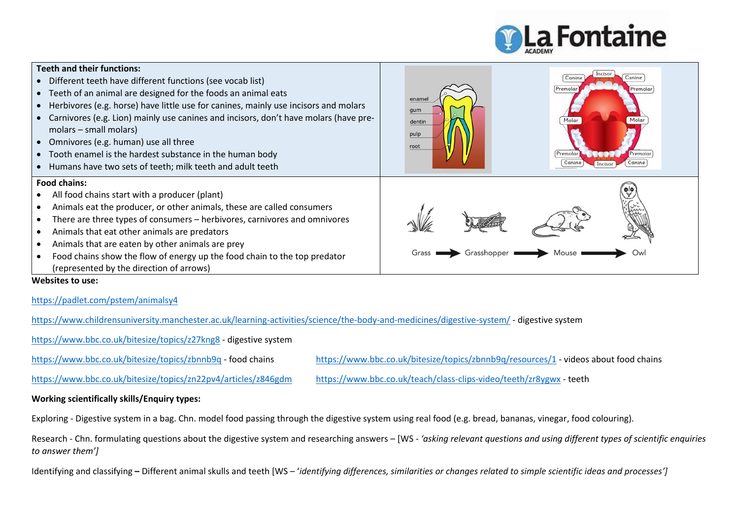

| <b>Teeth and their functions:</b><br>Different teeth have different functions (see vocab list)<br>• Teeth of an animal are designed for the foods an animal eats<br>Herbivores (e.g. horse) have little use for canines, mainly use incisors and molars<br>Carnivores (e.g. Lion) mainly use canines and incisors, don't have molars (have pre-<br>molars - small molars)<br>Omnivores (e.g. human) use all three<br>• Tooth enamel is the hardest substance in the human body<br>Humans have two sets of teeth; milk teeth and adult teeth | Incisor<br>Canine<br>Canine<br>Premolar<br>Premolar<br>enamel<br>qum<br>dentin<br>pulp<br>root<br>Premola<br>Premola<br>Canir |
|---------------------------------------------------------------------------------------------------------------------------------------------------------------------------------------------------------------------------------------------------------------------------------------------------------------------------------------------------------------------------------------------------------------------------------------------------------------------------------------------------------------------------------------------|-------------------------------------------------------------------------------------------------------------------------------|
| <b>Food chains:</b><br>All food chains start with a producer (plant)<br>Animals eat the producer, or other animals, these are called consumers<br>There are three types of consumers - herbivores, carnivores and omnivores<br>Animals that eat other animals are predators<br>Animals that are eaten by other animals are prey<br>Food chains show the flow of energy up the food chain to the top predator<br>(represented by the direction of arrows)<br>Websites to use:                                                                | Ow<br>Grass<br>Grasshopper                                                                                                    |

<https://padlet.com/pstem/animalsy4>

<https://www.childrensuniversity.manchester.ac.uk/learning-activities/science/the-body-and-medicines/digestive-system/> - digestive system

<https://www.bbc.co.uk/bitesize/topics/z27kng8> - digestive system

<https://www.bbc.co.uk/bitesize/topics/zbnnb9q> - food chains <https://www.bbc.co.uk/bitesize/topics/zbnnb9q/resources/1> - videos about food chains

<https://www.bbc.co.uk/bitesize/topics/zn22pv4/articles/z846gdm> <https://www.bbc.co.uk/teach/class-clips-video/teeth/zr8ygwx> - teeth

#### **Working scientifically skills/Enquiry types:**

Exploring - Digestive system in a bag. Chn. model food passing through the digestive system using real food (e.g. bread, bananas, vinegar, food colouring).

Research - Chn. formulating questions about the digestive system and researching answers – [WS - *'asking relevant questions and using different types of scientific enquiries to answer them']* 

Identifying and classifying **–** Different animal skulls and teeth [WS – '*identifying differences, similarities or changes related to simple scientific ideas and processes']*